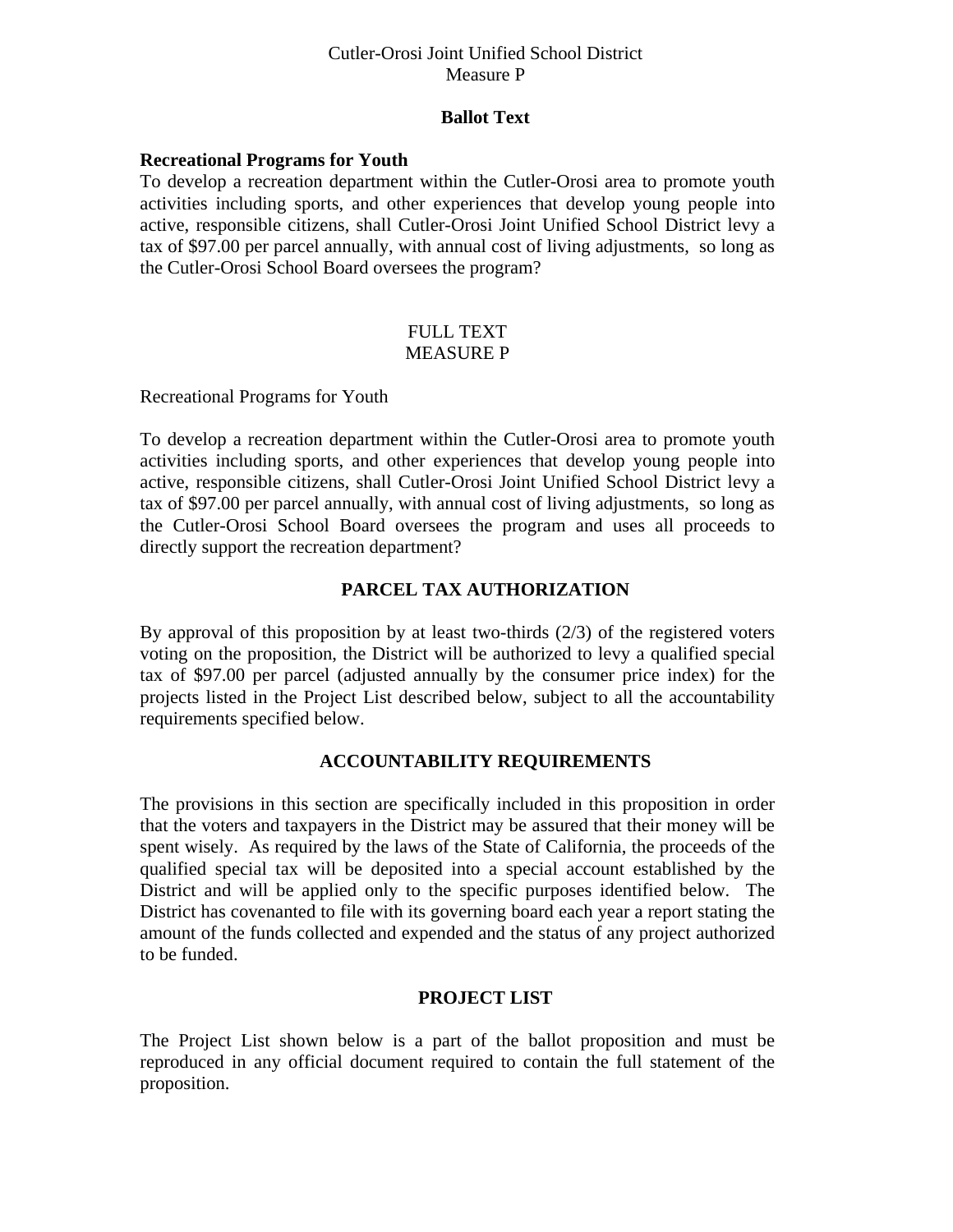## Cutler-Orosi Joint Unified School District Measure P

## **Ballot Text**

### **Recreational Programs for Youth**

To develop a recreation department within the Cutler-Orosi area to promote youth activities including sports, and other experiences that develop young people into active, responsible citizens, shall Cutler-Orosi Joint Unified School District levy a tax of \$97.00 per parcel annually, with annual cost of living adjustments, so long as the Cutler-Orosi School Board oversees the program?

#### FULL TEXT MEASURE P

#### Recreational Programs for Youth

To develop a recreation department within the Cutler-Orosi area to promote youth activities including sports, and other experiences that develop young people into active, responsible citizens, shall Cutler-Orosi Joint Unified School District levy a tax of \$97.00 per parcel annually, with annual cost of living adjustments, so long as the Cutler-Orosi School Board oversees the program and uses all proceeds to directly support the recreation department?

# **PARCEL TAX AUTHORIZATION**

By approval of this proposition by at least two-thirds (2/3) of the registered voters voting on the proposition, the District will be authorized to levy a qualified special tax of \$97.00 per parcel (adjusted annually by the consumer price index) for the projects listed in the Project List described below, subject to all the accountability requirements specified below.

### **ACCOUNTABILITY REQUIREMENTS**

The provisions in this section are specifically included in this proposition in order that the voters and taxpayers in the District may be assured that their money will be spent wisely. As required by the laws of the State of California, the proceeds of the qualified special tax will be deposited into a special account established by the District and will be applied only to the specific purposes identified below. The District has covenanted to file with its governing board each year a report stating the amount of the funds collected and expended and the status of any project authorized to be funded.

## **PROJECT LIST**

The Project List shown below is a part of the ballot proposition and must be reproduced in any official document required to contain the full statement of the proposition.